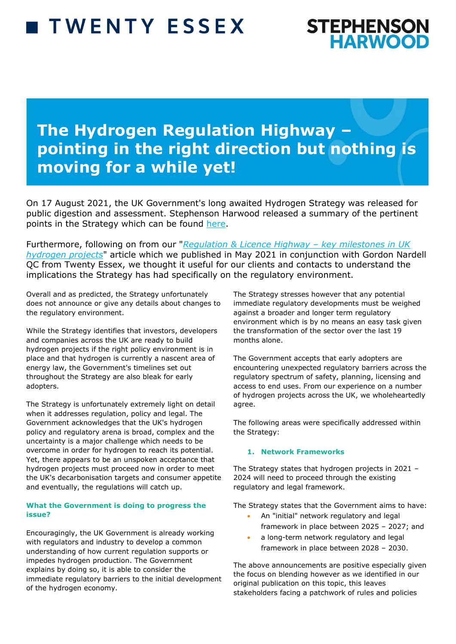# **TWENTY ESSEX**



## **The Hydrogen Regulation Highway – pointing in the right direction but nothing is moving for a while yet!**

On 17 August 2021, the UK Government's long awaited Hydrogen Strategy was released for public digestion and assessment. Stephenson Harwood released a summary of the pertinent points in the Strategy which can be found [here.](https://www.offshoreenergylaw.com/sites/default/files/pdf/The%20roadmap%20for%20hydrogen%20in%20the%20UK%20is%20now%20clear_next%20up%20is%20the%20detail.pdf)

Furthermore, following on from our "*[Regulation & Licence Highway](https://www.offshoreenergylaw.com/sites/default/files/pdf/Regulation%20%26%20Licence%20Highway_Key%20milestones%20in%20UK%20hydrogen%20projects.pdf) – key milestones in UK [hydrogen projects](https://www.offshoreenergylaw.com/sites/default/files/pdf/Regulation%20%26%20Licence%20Highway_Key%20milestones%20in%20UK%20hydrogen%20projects.pdf)*" article which we published in May 2021 in conjunction with Gordon Nardell QC from Twenty Essex, we thought it useful for our clients and contacts to understand the implications the Strategy has had specifically on the regulatory environment.

Overall and as predicted, the Strategy unfortunately does not announce or give any details about changes to the regulatory environment.

While the Strategy identifies that investors, developers and companies across the UK are ready to build hydrogen projects if the right policy environment is in place and that hydrogen is currently a nascent area of energy law, the Government's timelines set out throughout the Strategy are also bleak for early adopters.

The Strategy is unfortunately extremely light on detail when it addresses regulation, policy and legal. The Government acknowledges that the UK's hydrogen policy and regulatory arena is broad, complex and the uncertainty is a major challenge which needs to be overcome in order for hydrogen to reach its potential. Yet, there appears to be an unspoken acceptance that hydrogen projects must proceed now in order to meet the UK's decarbonisation targets and consumer appetite and eventually, the regulations will catch up.

#### **What the Government is doing to progress the issue?**

Encouragingly, the UK Government is already working with regulators and industry to develop a common understanding of how current regulation supports or impedes hydrogen production. The Government explains by doing so, it is able to consider the immediate regulatory barriers to the initial development of the hydrogen economy.

The Strategy stresses however that any potential immediate regulatory developments must be weighed against a broader and longer term regulatory environment which is by no means an easy task given the transformation of the sector over the last 19 months alone.

The Government accepts that early adopters are encountering unexpected regulatory barriers across the regulatory spectrum of safety, planning, licensing and access to end uses. From our experience on a number of hydrogen projects across the UK, we wholeheartedly agree.

The following areas were specifically addressed within the Strategy:

### **1. Network Frameworks**

The Strategy states that hydrogen projects in 2021 – 2024 will need to proceed through the existing regulatory and legal framework.

The Strategy states that the Government aims to have:

- An "initial" network regulatory and legal framework in place between 2025 – 2027; and
- a long-term network regulatory and legal framework in place between 2028 – 2030.

The above announcements are positive especially given the focus on blending however as we identified in our original publication on this topic, this leaves stakeholders facing a patchwork of rules and policies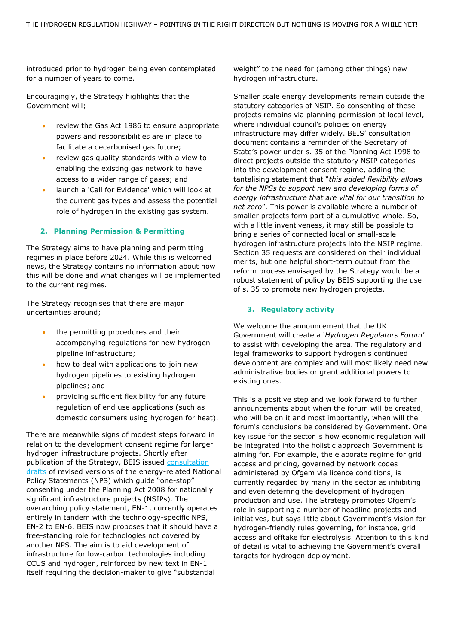introduced prior to hydrogen being even contemplated for a number of years to come.

Encouragingly, the Strategy highlights that the Government will;

- review the Gas Act 1986 to ensure appropriate powers and responsibilities are in place to facilitate a decarbonised gas future;
- review gas quality standards with a view to enabling the existing gas network to have access to a wider range of gases; and
- launch a 'Call for Evidence' which will look at the current gas types and assess the potential role of hydrogen in the existing gas system.

### **2. Planning Permission & Permitting**

The Strategy aims to have planning and permitting regimes in place before 2024. While this is welcomed news, the Strategy contains no information about how this will be done and what changes will be implemented to the current regimes.

The Strategy recognises that there are major uncertainties around;

- the permitting procedures and their accompanying regulations for new hydrogen pipeline infrastructure;
- how to deal with applications to join new hydrogen pipelines to existing hydrogen pipelines; and
- providing sufficient flexibility for any future regulation of end use applications (such as domestic consumers using hydrogen for heat).

There are meanwhile signs of modest steps forward in relation to the development consent regime for larger hydrogen infrastructure projects. Shortly after publication of the Strategy, BEIS issued consultation [drafts](https://assets.publishing.service.gov.uk/government/uploads/system/uploads/attachment_data/file/1015302/nps-consultation-document.pdf) of revised versions of the energy-related National Policy Statements (NPS) which guide "one-stop" consenting under the Planning Act 2008 for nationally significant infrastructure projects (NSIPs). The overarching policy statement, EN-1, currently operates entirely in tandem with the technology-specific NPS, EN-2 to EN-6. BEIS now proposes that it should have a free-standing role for technologies not covered by another NPS. The aim is to aid development of infrastructure for low-carbon technologies including CCUS and hydrogen, reinforced by new text in EN-1 itself requiring the decision-maker to give "substantial

weight" to the need for (among other things) new hydrogen infrastructure.

Smaller scale energy developments remain outside the statutory categories of NSIP. So consenting of these projects remains via planning permission at local level, where individual council's policies on energy infrastructure may differ widely. BEIS' consultation document contains a reminder of the Secretary of State's power under s. 35 of the Planning Act 1998 to direct projects outside the statutory NSIP categories into the development consent regime, adding the tantalising statement that "*this added flexibility allows for the NPSs to support new and developing forms of energy infrastructure that are vital for our transition to net zero*". This power is available where a number of smaller projects form part of a cumulative whole. So, with a little inventiveness, it may still be possible to bring a series of connected local or small-scale hydrogen infrastructure projects into the NSIP regime. Section 35 requests are considered on their individual merits, but one helpful short-term output from the reform process envisaged by the Strategy would be a robust statement of policy by BEIS supporting the use of s. 35 to promote new hydrogen projects.

#### **3. Regulatory activity**

We welcome the announcement that the UK Government will create a '*Hydrogen Regulators Forum'*  to assist with developing the area. The regulatory and legal frameworks to support hydrogen's continued development are complex and will most likely need new administrative bodies or grant additional powers to existing ones.

This is a positive step and we look forward to further announcements about when the forum will be created, who will be on it and most importantly, when will the forum's conclusions be considered by Government. One key issue for the sector is how economic regulation will be integrated into the holistic approach Government is aiming for. For example, the elaborate regime for grid access and pricing, governed by network codes administered by Ofgem via licence conditions, is currently regarded by many in the sector as inhibiting and even deterring the development of hydrogen production and use. The Strategy promotes Ofgem's role in supporting a number of headline projects and initiatives, but says little about Government's vision for hydrogen-friendly rules governing, for instance, grid access and offtake for electrolysis. Attention to this kind of detail is vital to achieving the Government's overall targets for hydrogen deployment.